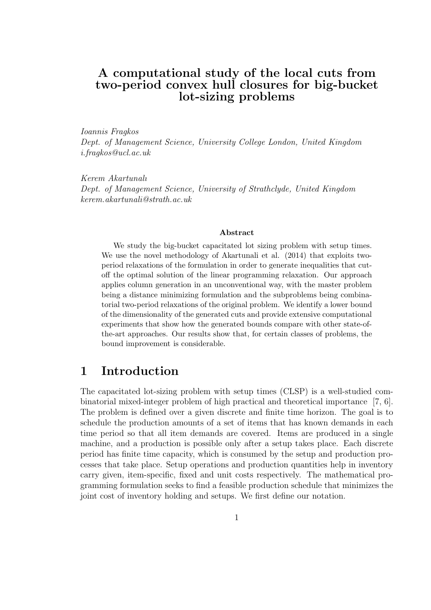### A computational study of the local cuts from two-period convex hull closures for big-bucket lot-sizing problems

*Ioannis Fragkos*

*Dept. of Management Science, University College London, United Kingdom i.fragkos@ucl.ac.uk*

*Kerem Akartunalı Dept. of Management Science, University of Strathclyde, United Kingdom kerem.akartunali@strath.ac.uk*

#### Abstract

We study the big-bucket capacitated lot sizing problem with setup times. We use the novel methodology of Akartunali et al. (2014) that exploits twoperiod relaxations of the formulation in order to generate inequalities that cutoff the optimal solution of the linear programming relaxation. Our approach applies column generation in an unconventional way, with the master problem being a distance minimizing formulation and the subproblems being combinatorial two-period relaxations of the original problem. We identify a lower bound of the dimensionality of the generated cuts and provide extensive computational experiments that show how the generated bounds compare with other state-ofthe-art approaches. Our results show that, for certain classes of problems, the bound improvement is considerable.

#### 1 Introduction

The capacitated lot-sizing problem with setup times (CLSP) is a well-studied combinatorial mixed-integer problem of high practical and theoretical importance [7, 6]. The problem is defined over a given discrete and finite time horizon. The goal is to schedule the production amounts of a set of items that has known demands in each time period so that all item demands are covered. Items are produced in a single machine, and a production is possible only after a setup takes place. Each discrete period has finite time capacity, which is consumed by the setup and production processes that take place. Setup operations and production quantities help in inventory carry given, item-specific, fixed and unit costs respectively. The mathematical programming formulation seeks to find a feasible production schedule that minimizes the joint cost of inventory holding and setups. We first define our notation.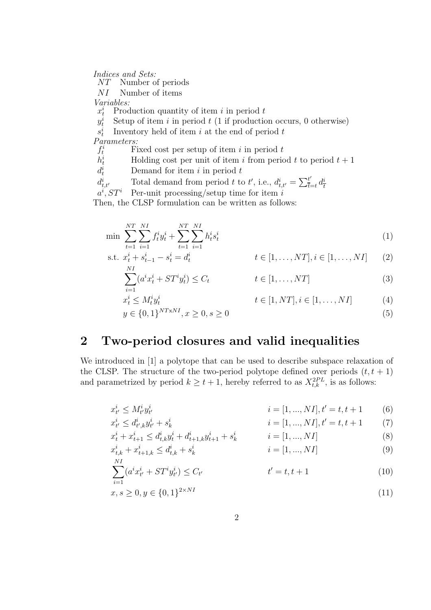*Indices and Sets:*

Number of periods

NI Number of items

 $x_t^i \leq M_t^i y_t^i$ 

*Variables:*

 $x_t^i$  Production quantity of item i in period t

 $y^i_t$ Setup of item i in period  $t$  (1 if production occurs, 0 otherwise)

 $s^i_t$ Inventory held of item  $i$  at the end of period  $t$ 

*Parameters:*

 $f_t^i$ Fixed cost per setup of item  $i$  in period  $t$ 

 $h_t^i$ Holding cost per unit of item i from period t to period  $t + 1$ 

 $d_t^i$ Demand for item  $i$  in period  $t$ 

 $d_t^i$  $t_{t,t'}$  Total demand from period t to t', i.e.,  $d_{t,t'}^i = \sum_{\overline{t}_t}^{t'}$  $t_{\overline{t}=t}^t$   $d_{\overline{t}}^i$  $t, t'$  Total definance from period  $t$  to  $t$ , i.e.,  $u_{t,t'} - \sum_{t=t} u_t$ ,  $ST^i$  Per-unit processing/setup time for item i

 $a^i$ 

Then, the CLSP formulation can be written as follows:

$$
\min \sum_{t=1}^{NT} \sum_{i=1}^{NI} f_t^i y_t^i + \sum_{t=1}^{NT} \sum_{i=1}^{NI} h_t^i s_t^i
$$
\n
$$
\text{s.t. } x_t^i + s_{t-1}^i - s_t^i = d_t^i \qquad t \in [1, \dots, NT], i \in [1, \dots, NI] \tag{2}
$$

$$
x_t^i + s_{t-1}^i - s_t^i = d_t^i \qquad t \in [1, ..., NT], i \in [1, ..., NI]
$$
 (2)

$$
\sum_{i=1} (a^i x_t^i + ST^i y_t^i) \le C_t \qquad \qquad t \in [1, \dots, NT]
$$
\n(3)

$$
t \in [1, NT], i \in [1, \dots, NI]
$$
 (4)

$$
y \in \{0, 1\}^{NTxNI}, x \ge 0, s \ge 0
$$
\n<sup>(5)</sup>

## 2 Two-period closures and valid inequalities

We introduced in [1] a polytope that can be used to describe subspace relaxation of the CLSP. The structure of the two-period polytope defined over periods  $(t, t + 1)$ and parametrized by period  $k \geq t+1$ , hereby referred to as  $X_{t,k}^{2PL}$ , is as follows:

$$
x_{t'}^{i} \le M_{t'}^{i} y_{t'}^{i} \qquad i = [1, ..., N I], t' = t, t + 1 \qquad (6)
$$

$$
x_{t'}^{i} \le d_{t',k}^{i} y_{t'}^{i} + s_{k}^{i} \qquad i = [1, ..., N I], t' = t, t + 1 \qquad (7)
$$

$$
x_t^i + x_{t+1}^i \le d_{t,k}^i y_t^i + d_{t+1,k}^i y_{t+1}^i + s_k^i \qquad i = [1, ..., N I]
$$
\n(8)

$$
x_{t,k}^i + x_{t+1,k}^i \le d_{t,k}^i + s_k^i \qquad i = [1, ..., N I]
$$
\n(9)

$$
\sum_{i=1}^{NI} (a^i x^i_{t'} + ST^i y^i_{t'}) \le C_{t'}
$$
\n
$$
t' = t, t + 1
$$
\n(10)

$$
x, s \ge 0, y \in \{0, 1\}^{2 \times NI} \tag{11}
$$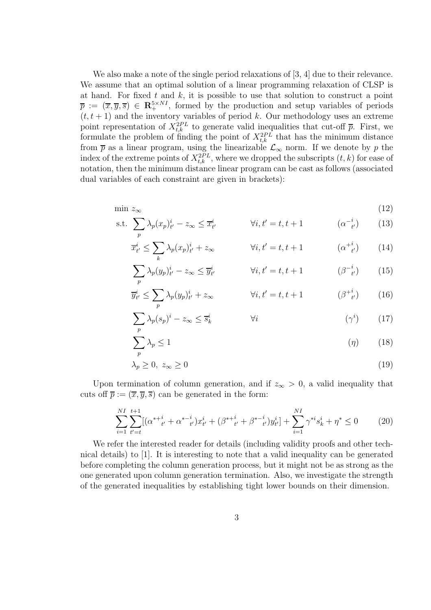We also make a note of the single period relaxations of [3, 4] due to their relevance. We assume that an optimal solution of a linear programming relaxation of CLSP is at hand. For fixed  $t$  and  $k$ , it is possible to use that solution to construct a point  $\overline{p} := (\overline{x}, \overline{y}, \overline{s}) \in \mathbb{R}^{5 \times N}$ , formed by the production and setup variables of periods  $(t, t + 1)$  and the inventory variables of period k. Our methodology uses an extreme point representation of  $X_{t,k}^{2PL}$  to generate valid inequalities that cut-off  $\bar{p}$ . First, we formulate the problem of finding the point of  $X_{t,k}^{2PL}$  that has the minimum distance from  $\bar{p}$  as a linear program, using the linearizable  $\mathcal{L}_{\infty}$  norm. If we denote by p the index of the extreme points of  $X_{t,k}^{2PL}$ , where we dropped the subscripts  $(t, k)$  for ease of notation, then the minimum distance linear program can be cast as follows (associated dual variables of each constraint are given in brackets):

$$
\min z_{\infty} \tag{12}
$$

s.t. 
$$
\sum_{p} \lambda_p (x_p)^i_t - z_\infty \leq \overline{x}^i_t \qquad \forall i, t' = t, t + 1 \qquad (\alpha^{-i}_{t'}) \qquad (13)
$$

$$
\overline{x}_{t'}^i \le \sum_k \lambda_p(x_p)_{t'}^i + z_\infty \qquad \forall i, t' = t, t + 1 \qquad (\alpha^{+i}_{t'}) \qquad (14)
$$

$$
\sum_{p} \lambda_{p}(y_{p})_{t'}^{i} - z_{\infty} \leq \overline{y}_{t'}^{i} \qquad \forall i, t' = t, t + 1 \qquad (\beta^{-i}_{t'}) \qquad (15)
$$

$$
\overline{y}_{t'}^i \le \sum_p \lambda_p(y_p)_{t'}^i + z_\infty \qquad \forall i, t' = t, t + 1 \qquad (\beta^{+i}_{t'}) \qquad (16)
$$

$$
\sum_{p} \lambda_p (s_p)^i - z_{\infty} \le \overline{s}_k^i \qquad \qquad \forall i \qquad (\gamma^i) \qquad (17)
$$

$$
\sum_{p} \lambda_p \le 1 \tag{18}
$$

$$
\lambda_p \ge 0, \ z_{\infty} \ge 0 \tag{19}
$$

Upon termination of column generation, and if  $z_{\infty} > 0$ , a valid inequality that cuts off  $\bar{p} := (\bar{x}, \bar{y}, \bar{s})$  can be generated in the form:

$$
\sum_{i=1}^{NI} \sum_{t'=t}^{t+1} [(\alpha^{*+}^{i}_{t'} + \alpha^{*-}^{i}_{t'}) x^{i}_{t'} + (\beta^{*+}^{i}_{t'} + \beta^{*-}^{i}_{t'}) y^{i}_{t'}] + \sum_{i=1}^{NI} \gamma^{*i} s^{i}_{k} + \eta^{*} \le 0 \tag{20}
$$

We refer the interested reader for details (including validity proofs and other technical details) to [1]. It is interesting to note that a valid inequality can be generated before completing the column generation process, but it might not be as strong as the one generated upon column generation termination. Also, we investigate the strength of the generated inequalities by establishing tight lower bounds on their dimension.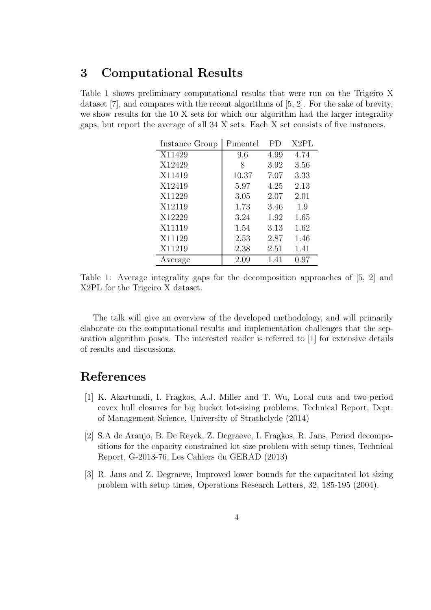# 3 Computational Results

Table 1 shows preliminary computational results that were run on the Trigeiro X dataset [7], and compares with the recent algorithms of [5, 2]. For the sake of brevity, we show results for the 10 X sets for which our algorithm had the larger integrality gaps, but report the average of all 34 X sets. Each X set consists of five instances.

| Instance Group | Pimentel | PD   | X2PL |
|----------------|----------|------|------|
| X11429         | 9.6      | 4.99 | 4.74 |
| X12429         | 8        | 3.92 | 3.56 |
| X11419         | 10.37    | 7.07 | 3.33 |
| X12419         | 5.97     | 4.25 | 2.13 |
| X11229         | 3.05     | 2.07 | 2.01 |
| X12119         | 1.73     | 3.46 | 1.9  |
| X12229         | 3.24     | 1.92 | 1.65 |
| X11119         | 1.54     | 3.13 | 1.62 |
| X11129         | 2.53     | 2.87 | 1.46 |
| X11219         | 2.38     | 2.51 | 1.41 |
| Average        | 2.09     | 1.41 | 0.97 |

Table 1: Average integrality gaps for the decomposition approaches of [5, 2] and X2PL for the Trigeiro X dataset.

The talk will give an overview of the developed methodology, and will primarily elaborate on the computational results and implementation challenges that the separation algorithm poses. The interested reader is referred to [1] for extensive details of results and discussions.

## References

- [1] K. Akartunali, I. Fragkos, A.J. Miller and T. Wu, Local cuts and two-period covex hull closures for big bucket lot-sizing problems, Technical Report, Dept. of Management Science, University of Strathclyde (2014)
- [2] S.A de Araujo, B. De Reyck, Z. Degraeve, I. Fragkos, R. Jans, Period decompositions for the capacity constrained lot size problem with setup times, Technical Report, G-2013-76, Les Cahiers du GERAD (2013)
- [3] R. Jans and Z. Degraeve, Improved lower bounds for the capacitated lot sizing problem with setup times, Operations Research Letters, 32, 185-195 (2004).